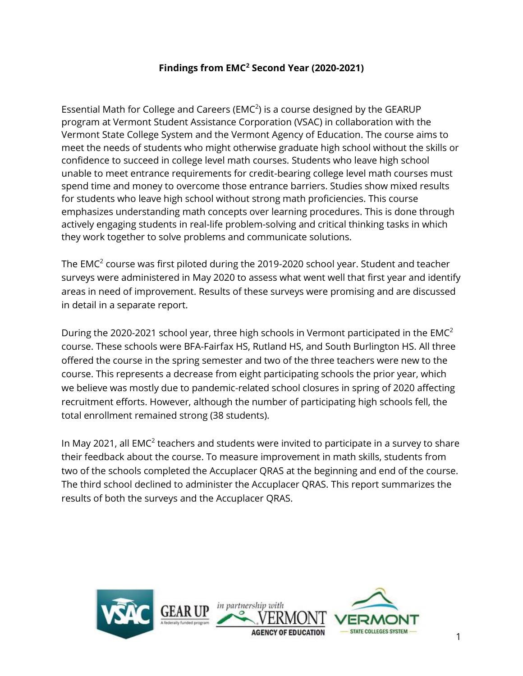## **Findings from EMC<sup>2</sup> Second Year (2020-2021)**

Essential Math for College and Careers ( $EMC<sup>2</sup>$ ) is a course designed by the GEARUP program at Vermont Student Assistance Corporation (VSAC) in collaboration with the Vermont State College System and the Vermont Agency of Education. The course aims to meet the needs of students who might otherwise graduate high school without the skills or confidence to succeed in college level math courses. Students who leave high school unable to meet entrance requirements for credit-bearing college level math courses must spend time and money to overcome those entrance barriers. Studies show mixed results for students who leave high school without strong math proficiencies. This course emphasizes understanding math concepts over learning procedures. This is done through actively engaging students in real-life problem-solving and critical thinking tasks in which they work together to solve problems and communicate solutions.

The EMC<sup>2</sup> course was first piloted during the 2019-2020 school year. Student and teacher surveys were administered in May 2020 to assess what went well that first year and identify areas in need of improvement. Results of these surveys were promising and are discussed in detail in a separate report.

During the 2020-2021 school year, three high schools in Vermont participated in the EMC<sup>2</sup> course. These schools were BFA-Fairfax HS, Rutland HS, and South Burlington HS. All three offered the course in the spring semester and two of the three teachers were new to the course. This represents a decrease from eight participating schools the prior year, which we believe was mostly due to pandemic-related school closures in spring of 2020 affecting recruitment efforts. However, although the number of participating high schools fell, the total enrollment remained strong (38 students).

In May 2021, all EMC<sup>2</sup> teachers and students were invited to participate in a survey to share their feedback about the course. To measure improvement in math skills, students from two of the schools completed the Accuplacer QRAS at the beginning and end of the course. The third school declined to administer the Accuplacer QRAS. This report summarizes the results of both the surveys and the Accuplacer QRAS.

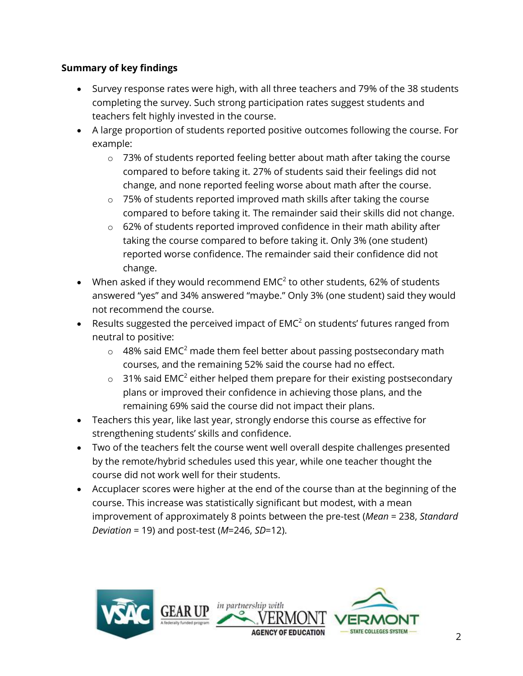# **Summary of key findings**

- Survey response rates were high, with all three teachers and 79% of the 38 students completing the survey. Such strong participation rates suggest students and teachers felt highly invested in the course.
- A large proportion of students reported positive outcomes following the course. For example:
	- o 73% of students reported feeling better about math after taking the course compared to before taking it. 27% of students said their feelings did not change, and none reported feeling worse about math after the course.
	- o 75% of students reported improved math skills after taking the course compared to before taking it. The remainder said their skills did not change.
	- o 62% of students reported improved confidence in their math ability after taking the course compared to before taking it. Only 3% (one student) reported worse confidence. The remainder said their confidence did not change.
- When asked if they would recommend EMC<sup>2</sup> to other students, 62% of students answered "yes" and 34% answered "maybe." Only 3% (one student) said they would not recommend the course.
- Results suggested the perceived impact of  $EMC<sup>2</sup>$  on students' futures ranged from neutral to positive:
	- $\circ$  48% said EMC<sup>2</sup> made them feel better about passing postsecondary math courses, and the remaining 52% said the course had no effect.
	- $\circ$  31% said EMC<sup>2</sup> either helped them prepare for their existing postsecondary plans or improved their confidence in achieving those plans, and the remaining 69% said the course did not impact their plans.
- Teachers this year, like last year, strongly endorse this course as effective for strengthening students' skills and confidence.
- Two of the teachers felt the course went well overall despite challenges presented by the remote/hybrid schedules used this year, while one teacher thought the course did not work well for their students.
- Accuplacer scores were higher at the end of the course than at the beginning of the course. This increase was statistically significant but modest, with a mean improvement of approximately 8 points between the pre-test (*Mean* = 238, *Standard Deviation* = 19) and post-test (*M*=246, *SD*=12).

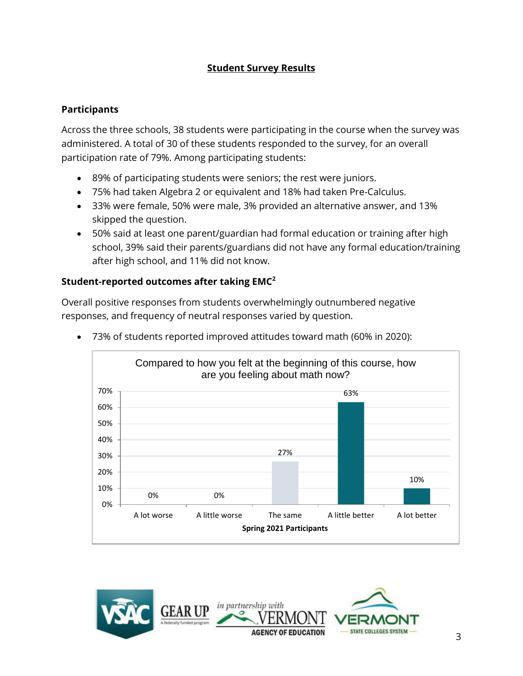## **Student Survey Results**

### **Participants**

Across the three schools, 38 students were participating in the course when the survey was administered. A total of 30 of these students responded to the survey, for an overall participation rate of 79%. Among participating students:

- 89% of participating students were seniors; the rest were juniors.
- 75% had taken Algebra 2 or equivalent and 18% had taken Pre-Calculus.
- 33% were female, 50% were male, 3% provided an alternative answer, and 13% skipped the question.
- 50% said at least one parent/guardian had formal education or training after high school, 39% said their parents/guardians did not have any formal education/training after high school, and 11% did not know.

## **Student-reported outcomes after taking EMC<sup>2</sup>**

Overall positive responses from students overwhelmingly outnumbered negative responses, and frequency of neutral responses varied by question.



• 73% of students reported improved attitudes toward math (60% in 2020):

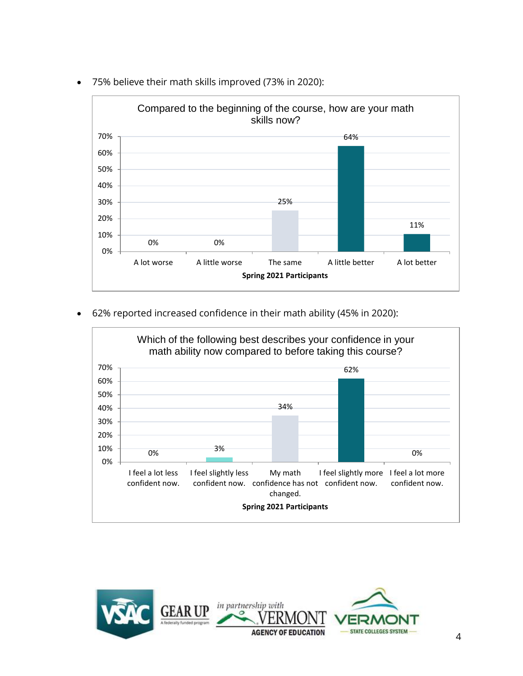

• 75% believe their math skills improved (73% in 2020):

• 62% reported increased confidence in their math ability (45% in 2020):



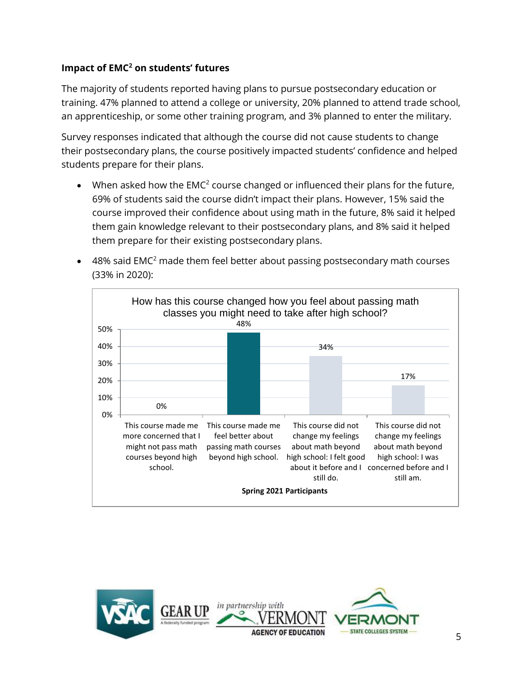## **Impact of EMC<sup>2</sup> on students' futures**

The majority of students reported having plans to pursue postsecondary education or training. 47% planned to attend a college or university, 20% planned to attend trade school, an apprenticeship, or some other training program, and 3% planned to enter the military.

Survey responses indicated that although the course did not cause students to change their postsecondary plans, the course positively impacted students' confidence and helped students prepare for their plans.

- When asked how the  $EMC<sup>2</sup>$  course changed or influenced their plans for the future, 69% of students said the course didn't impact their plans. However, 15% said the course improved their confidence about using math in the future, 8% said it helped them gain knowledge relevant to their postsecondary plans, and 8% said it helped them prepare for their existing postsecondary plans.
- 48% said EMC<sup>2</sup> made them feel better about passing postsecondary math courses (33% in 2020):



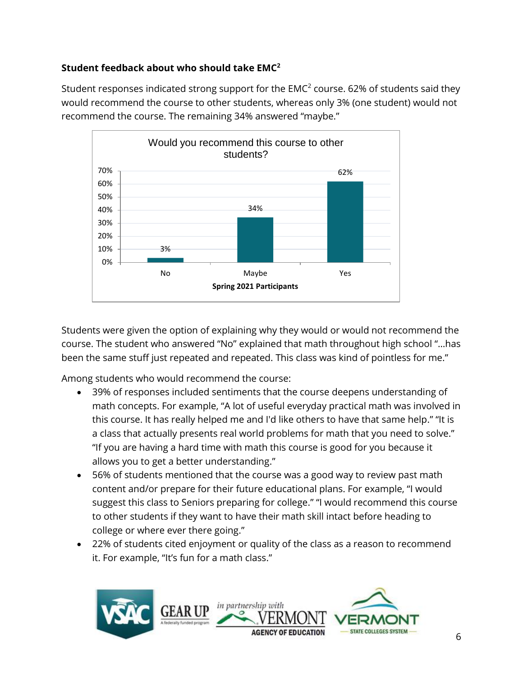# **Student feedback about who should take EMC<sup>2</sup>**

Student responses indicated strong support for the EMC<sup>2</sup> course. 62% of students said they would recommend the course to other students, whereas only 3% (one student) would not recommend the course. The remaining 34% answered "maybe."



Students were given the option of explaining why they would or would not recommend the course. The student who answered "No" explained that math throughout high school "…has been the same stuff just repeated and repeated. This class was kind of pointless for me."

Among students who would recommend the course:

- 39% of responses included sentiments that the course deepens understanding of math concepts. For example, "A lot of useful everyday practical math was involved in this course. It has really helped me and I'd like others to have that same help." "It is a class that actually presents real world problems for math that you need to solve." "If you are having a hard time with math this course is good for you because it allows you to get a better understanding."
- 56% of students mentioned that the course was a good way to review past math content and/or prepare for their future educational plans. For example, "I would suggest this class to Seniors preparing for college." "I would recommend this course to other students if they want to have their math skill intact before heading to college or where ever there going."
- 22% of students cited enjoyment or quality of the class as a reason to recommend it. For example, "It's fun for a math class."

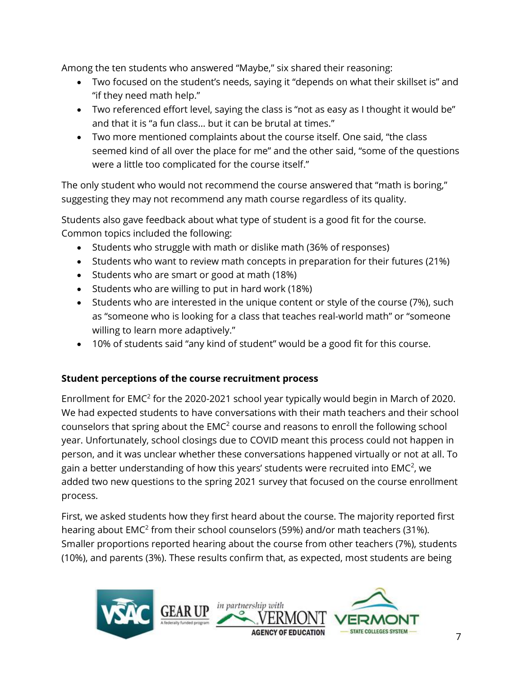Among the ten students who answered "Maybe," six shared their reasoning:

- Two focused on the student's needs, saying it "depends on what their skillset is" and "if they need math help."
- Two referenced effort level, saying the class is "not as easy as I thought it would be" and that it is "a fun class… but it can be brutal at times."
- Two more mentioned complaints about the course itself. One said, "the class seemed kind of all over the place for me" and the other said, "some of the questions were a little too complicated for the course itself."

The only student who would not recommend the course answered that "math is boring," suggesting they may not recommend any math course regardless of its quality.

Students also gave feedback about what type of student is a good fit for the course. Common topics included the following:

- Students who struggle with math or dislike math (36% of responses)
- Students who want to review math concepts in preparation for their futures (21%)
- Students who are smart or good at math (18%)
- Students who are willing to put in hard work (18%)
- Students who are interested in the unique content or style of the course (7%), such as "someone who is looking for a class that teaches real-world math" or "someone willing to learn more adaptively."
- 10% of students said "any kind of student" would be a good fit for this course.

### **Student perceptions of the course recruitment process**

Enrollment for  $EMC<sup>2</sup>$  for the 2020-2021 school year typically would begin in March of 2020. We had expected students to have conversations with their math teachers and their school counselors that spring about the  $EMC<sup>2</sup>$  course and reasons to enroll the following school year. Unfortunately, school closings due to COVID meant this process could not happen in person, and it was unclear whether these conversations happened virtually or not at all. To gain a better understanding of how this years' students were recruited into EMC<sup>2</sup>, we added two new questions to the spring 2021 survey that focused on the course enrollment process.

First, we asked students how they first heard about the course. The majority reported first hearing about EMC<sup>2</sup> from their school counselors (59%) and/or math teachers (31%). Smaller proportions reported hearing about the course from other teachers (7%), students (10%), and parents (3%). These results confirm that, as expected, most students are being

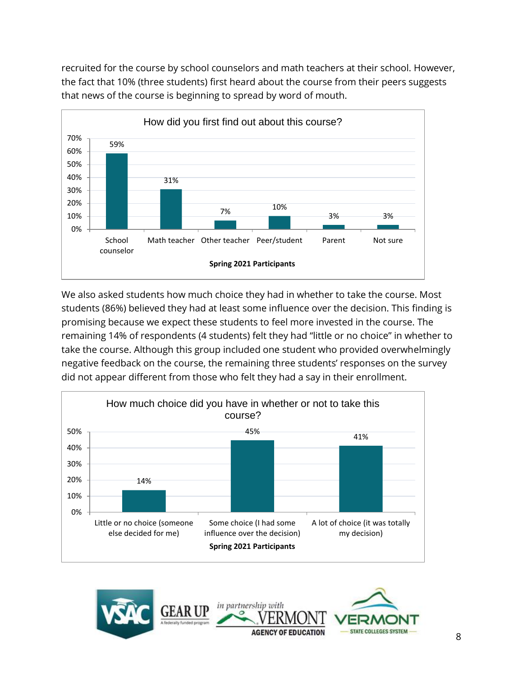recruited for the course by school counselors and math teachers at their school. However, the fact that 10% (three students) first heard about the course from their peers suggests that news of the course is beginning to spread by word of mouth.



We also asked students how much choice they had in whether to take the course. Most students (86%) believed they had at least some influence over the decision. This finding is promising because we expect these students to feel more invested in the course. The remaining 14% of respondents (4 students) felt they had "little or no choice" in whether to take the course. Although this group included one student who provided overwhelmingly negative feedback on the course, the remaining three students' responses on the survey did not appear different from those who felt they had a say in their enrollment.



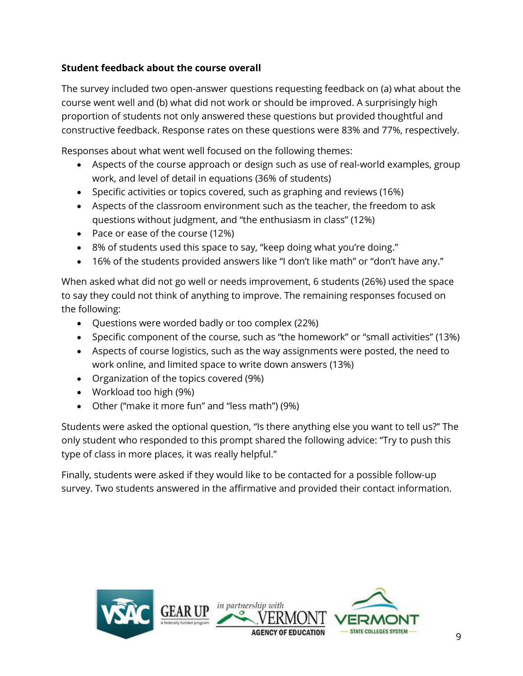# **Student feedback about the course overall**

The survey included two open-answer questions requesting feedback on (a) what about the course went well and (b) what did not work or should be improved. A surprisingly high proportion of students not only answered these questions but provided thoughtful and constructive feedback. Response rates on these questions were 83% and 77%, respectively.

Responses about what went well focused on the following themes:

- Aspects of the course approach or design such as use of real-world examples, group work, and level of detail in equations (36% of students)
- Specific activities or topics covered, such as graphing and reviews (16%)
- Aspects of the classroom environment such as the teacher, the freedom to ask questions without judgment, and "the enthusiasm in class" (12%)
- Pace or ease of the course (12%)
- 8% of students used this space to say, "keep doing what you're doing."
- 16% of the students provided answers like "I don't like math" or "don't have any."

When asked what did not go well or needs improvement, 6 students (26%) used the space to say they could not think of anything to improve. The remaining responses focused on the following:

- Questions were worded badly or too complex (22%)
- Specific component of the course, such as "the homework" or "small activities" (13%)
- Aspects of course logistics, such as the way assignments were posted, the need to work online, and limited space to write down answers (13%)
- Organization of the topics covered (9%)
- Workload too high (9%)
- Other ("make it more fun" and "less math") (9%)

Students were asked the optional question, "Is there anything else you want to tell us?" The only student who responded to this prompt shared the following advice: "Try to push this type of class in more places, it was really helpful."

Finally, students were asked if they would like to be contacted for a possible follow-up survey. Two students answered in the affirmative and provided their contact information.

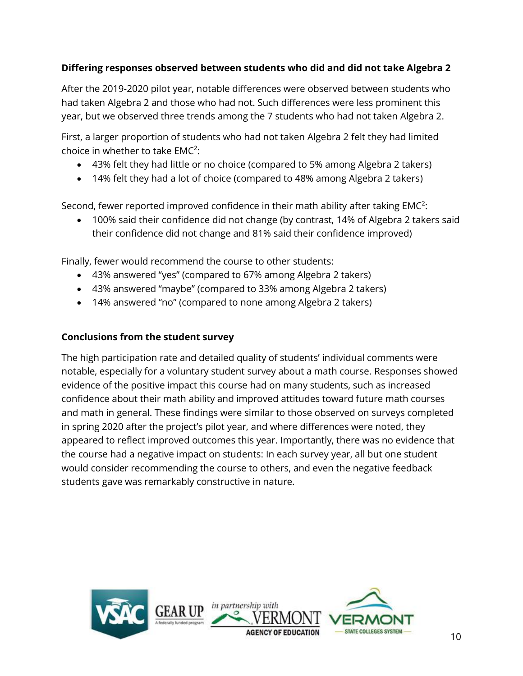## **Differing responses observed between students who did and did not take Algebra 2**

After the 2019-2020 pilot year, notable differences were observed between students who had taken Algebra 2 and those who had not. Such differences were less prominent this year, but we observed three trends among the 7 students who had not taken Algebra 2.

First, a larger proportion of students who had not taken Algebra 2 felt they had limited choice in whether to take  $EMC<sup>2</sup>$ :

- 43% felt they had little or no choice (compared to 5% among Algebra 2 takers)
- 14% felt they had a lot of choice (compared to 48% among Algebra 2 takers)

Second, fewer reported improved confidence in their math ability after taking  $EMC<sup>2</sup>$ :

• 100% said their confidence did not change (by contrast, 14% of Algebra 2 takers said their confidence did not change and 81% said their confidence improved)

Finally, fewer would recommend the course to other students:

- 43% answered "yes" (compared to 67% among Algebra 2 takers)
- 43% answered "maybe" (compared to 33% among Algebra 2 takers)
- 14% answered "no" (compared to none among Algebra 2 takers)

### **Conclusions from the student survey**

The high participation rate and detailed quality of students' individual comments were notable, especially for a voluntary student survey about a math course. Responses showed evidence of the positive impact this course had on many students, such as increased confidence about their math ability and improved attitudes toward future math courses and math in general. These findings were similar to those observed on surveys completed in spring 2020 after the project's pilot year, and where differences were noted, they appeared to reflect improved outcomes this year. Importantly, there was no evidence that the course had a negative impact on students: In each survey year, all but one student would consider recommending the course to others, and even the negative feedback students gave was remarkably constructive in nature.

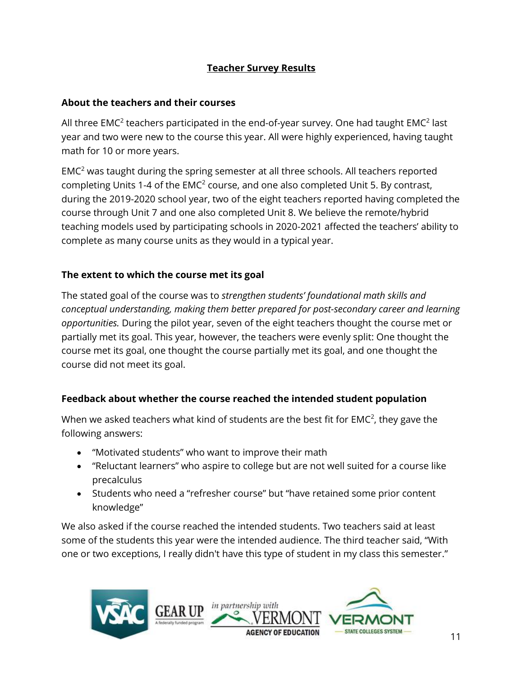## **Teacher Survey Results**

#### **About the teachers and their courses**

All three EMC<sup>2</sup> teachers participated in the end-of-year survey. One had taught EMC<sup>2</sup> last year and two were new to the course this year. All were highly experienced, having taught math for 10 or more years.

 $EMC<sup>2</sup>$  was taught during the spring semester at all three schools. All teachers reported completing Units 1-4 of the  $EMC<sup>2</sup>$  course, and one also completed Unit 5. By contrast, during the 2019-2020 school year, two of the eight teachers reported having completed the course through Unit 7 and one also completed Unit 8. We believe the remote/hybrid teaching models used by participating schools in 2020-2021 affected the teachers' ability to complete as many course units as they would in a typical year.

### **The extent to which the course met its goal**

The stated goal of the course was to *strengthen students' foundational math skills and conceptual understanding, making them better prepared for post-secondary career and learning opportunities.* During the pilot year, seven of the eight teachers thought the course met or partially met its goal. This year, however, the teachers were evenly split: One thought the course met its goal, one thought the course partially met its goal, and one thought the course did not meet its goal.

### **Feedback about whether the course reached the intended student population**

When we asked teachers what kind of students are the best fit for EMC<sup>2</sup>, they gave the following answers:

- "Motivated students" who want to improve their math
- "Reluctant learners" who aspire to college but are not well suited for a course like precalculus
- Students who need a "refresher course" but "have retained some prior content knowledge"

We also asked if the course reached the intended students. Two teachers said at least some of the students this year were the intended audience. The third teacher said, "With one or two exceptions, I really didn't have this type of student in my class this semester."

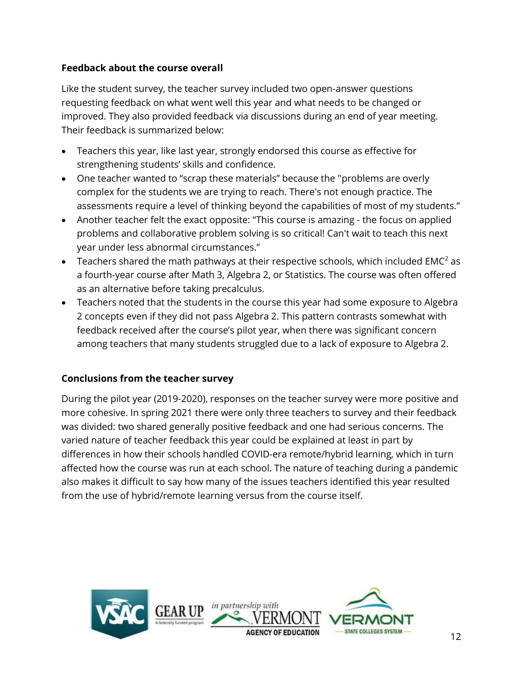## **Feedback about the course overall**

Like the student survey, the teacher survey included two open-answer questions requesting feedback on what went well this year and what needs to be changed or improved. They also provided feedback via discussions during an end of year meeting. Their feedback is summarized below:

- Teachers this year, like last year, strongly endorsed this course as effective for strengthening students' skills and confidence.
- One teacher wanted to "scrap these materials" because the "problems are overly complex for the students we are trying to reach. There's not enough practice. The assessments require a level of thinking beyond the capabilities of most of my students."
- Another teacher felt the exact opposite: "This course is amazing the focus on applied problems and collaborative problem solving is so critical! Can't wait to teach this next year under less abnormal circumstances."
- Teachers shared the math pathways at their respective schools, which included EMC<sup>2</sup> as a fourth-year course after Math 3, Algebra 2, or Statistics. The course was often offered as an alternative before taking precalculus.
- Teachers noted that the students in the course this year had some exposure to Algebra 2 concepts even if they did not pass Algebra 2. This pattern contrasts somewhat with feedback received after the course's pilot year, when there was significant concern among teachers that many students struggled due to a lack of exposure to Algebra 2.

### **Conclusions from the teacher survey**

During the pilot year (2019-2020), responses on the teacher survey were more positive and more cohesive. In spring 2021 there were only three teachers to survey and their feedback was divided: two shared generally positive feedback and one had serious concerns. The varied nature of teacher feedback this year could be explained at least in part by differences in how their schools handled COVID-era remote/hybrid learning, which in turn affected how the course was run at each school. The nature of teaching during a pandemic also makes it difficult to say how many of the issues teachers identified this year resulted from the use of hybrid/remote learning versus from the course itself.

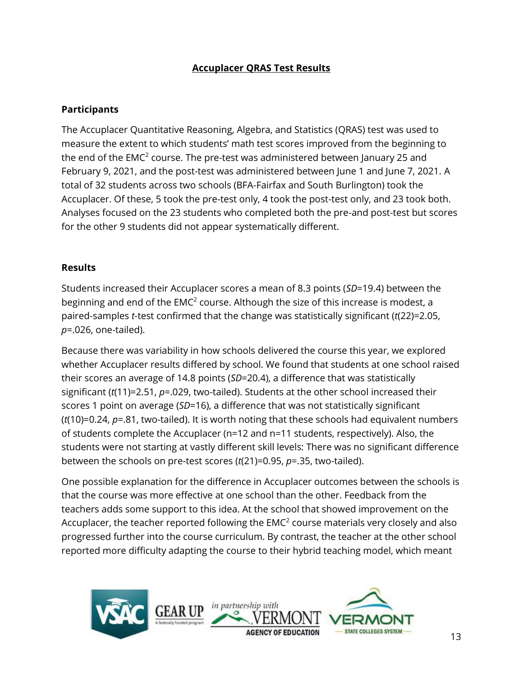## **Accuplacer QRAS Test Results**

#### **Participants**

The Accuplacer Quantitative Reasoning, Algebra, and Statistics (QRAS) test was used to measure the extent to which students' math test scores improved from the beginning to the end of the EMC<sup>2</sup> course. The pre-test was administered between January 25 and February 9, 2021, and the post-test was administered between June 1 and June 7, 2021. A total of 32 students across two schools (BFA-Fairfax and South Burlington) took the Accuplacer. Of these, 5 took the pre-test only, 4 took the post-test only, and 23 took both. Analyses focused on the 23 students who completed both the pre-and post-test but scores for the other 9 students did not appear systematically different.

#### **Results**

Students increased their Accuplacer scores a mean of 8.3 points (*SD*=19.4) between the beginning and end of the EMC<sup>2</sup> course. Although the size of this increase is modest, a paired-samples *t*-test confirmed that the change was statistically significant (*t*(22)=2.05, *p*=.026, one-tailed).

Because there was variability in how schools delivered the course this year, we explored whether Accuplacer results differed by school. We found that students at one school raised their scores an average of 14.8 points (*SD*=20.4), a difference that was statistically significant (*t*(11)=2.51, *p*=.029, two-tailed). Students at the other school increased their scores 1 point on average (*SD*=16), a difference that was not statistically significant (*t*(10)=0.24, *p*=.81, two-tailed). It is worth noting that these schools had equivalent numbers of students complete the Accuplacer (n=12 and n=11 students, respectively). Also, the students were not starting at vastly different skill levels: There was no significant difference between the schools on pre-test scores (*t*(21)=0.95, *p*=.35, two-tailed).

One possible explanation for the difference in Accuplacer outcomes between the schools is that the course was more effective at one school than the other. Feedback from the teachers adds some support to this idea. At the school that showed improvement on the Accuplacer, the teacher reported following the  $EMC<sup>2</sup>$  course materials very closely and also progressed further into the course curriculum. By contrast, the teacher at the other school reported more difficulty adapting the course to their hybrid teaching model, which meant